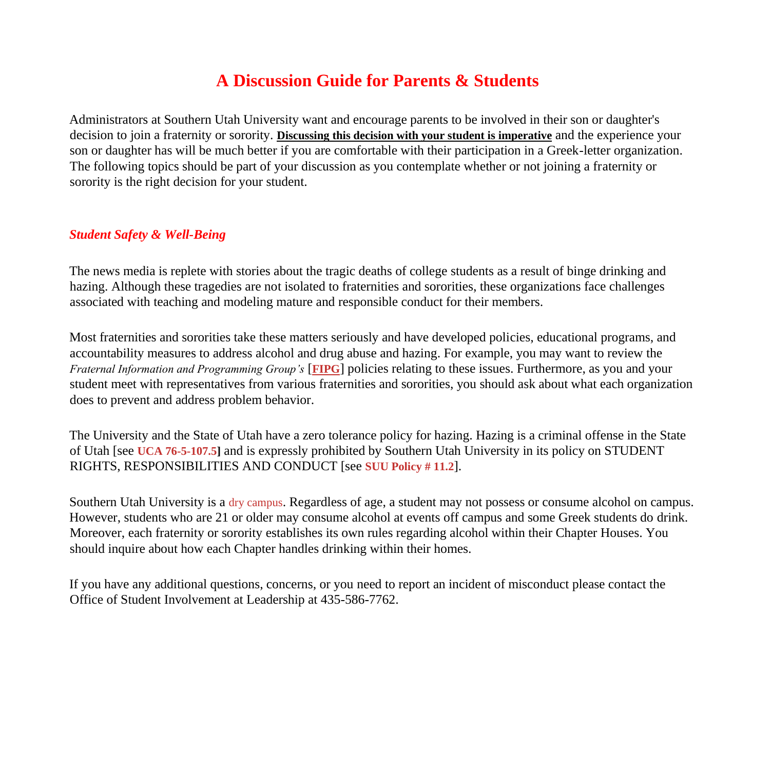# **A Discussion Guide for Parents & Students**

Administrators at Southern Utah University want and encourage parents to be involved in their son or daughter's decision to join a fraternity or sorority. **Discussing this decision with your student is imperative** and the experience your son or daughter has will be much better if you are comfortable with their participation in a Greek-letter organization. The following topics should be part of your discussion as you contemplate whether or not joining a fraternity or sorority is the right decision for your student.

## *Student Safety & Well-Being*

The news media is replete with stories about the tragic deaths of college students as a result of binge drinking and hazing. Although these tragedies are not isolated to fraternities and sororities, these organizations face challenges associated with teaching and modeling mature and responsible conduct for their members.

Most fraternities and sororities take these matters seriously and have developed policies, educational programs, and accountability measures to address alcohol and drug abuse and hazing. For example, you may want to review the *Fraternal Information and Programming Group's* [\[](http://www.fipg.org/)**[FIPG](http://www.fipg.org/)**[\]](http://www.fipg.org/) policies relating to these issues. Furthermore, as you and your student meet with representatives from various fraternities and sororities, you should ask about what each organization does to prevent and address problem behavior.

The University and the State of Utah have a zero tolerance policy for hazing. Hazing is a criminal offense in the State of Utah [se[e](http://le.utah.gov/~code/TITLE76/htm/76_05_010705.htm) **[UCA](http://le.utah.gov/~code/TITLE76/htm/76_05_010705.htm) [76-5-107.5\]](http://le.utah.gov/~code/TITLE76/htm/76_05_010705.htm)** and is expressly prohibited by Southern Utah University in its policy on STUDENT RIGHTS, RESPONSIBILITIES AND CONDUCT [se[e](http://www.suu.edu/pub/policies/pdf/PP112Student.pdf) **[SUU](http://www.suu.edu/pub/policies/pdf/PP112Student.pdf) [Policy](http://www.suu.edu/pub/policies/pdf/PP112Student.pdf) [#](http://www.suu.edu/pub/policies/pdf/PP112Student.pdf) [11.2](http://www.suu.edu/pub/policies/pdf/PP112Student.pdf)**[\].](http://www.suu.edu/pub/policies/pdf/PP112Student.pdf)

Southern Ut[a](http://www.suu.edu/pub/policies/pdf/PP540Alcoholic.pdf)h University is a [dry](http://www.suu.edu/pub/policies/pdf/PP540Alcoholic.pdf) [campus](http://www.suu.edu/pub/policies/pdf/PP540Alcoholic.pdf)[.](http://www.suu.edu/pub/policies/pdf/PP540Alcoholic.pdf) Regardless of age, a student may not possess or consume alcohol on campus. However, students who are 21 or older may consume alcohol at events off campus and some Greek students do drink. Moreover, each fraternity or sorority establishes its own rules regarding alcohol within their Chapter Houses. You should inquire about how each Chapter handles drinking within their homes.

If you have any additional questions, concerns, or you need to report an incident of misconduct please contact the Office of Student Involvement at Leadership at 435-586-7762.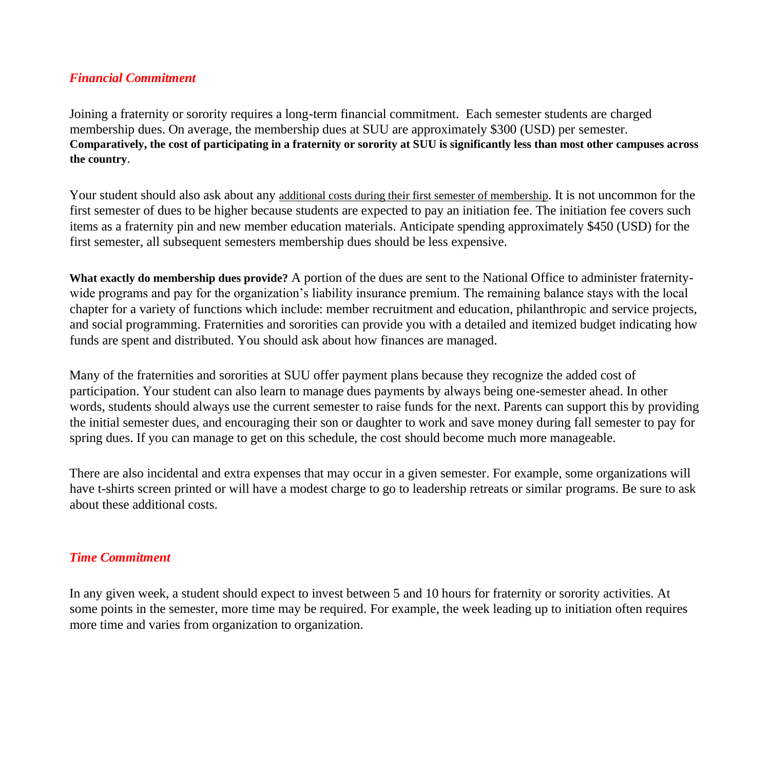## *Financial Commitment*

Joining a fraternity or sorority requires a long-term financial commitment. Each semester students are charged membership dues. On average, the membership dues at SUU are approximately \$300 (USD) per semester. **Comparatively, the cost of participating in a fraternity or sorority at SUU is significantly less than most other campuses across the country**.

Your student should also ask about any additional costs during their first semester of membership. It is not uncommon for the first semester of dues to be higher because students are expected to pay an initiation fee. The initiation fee covers such items as a fraternity pin and new member education materials. Anticipate spending approximately \$450 (USD) for the first semester, all subsequent semesters membership dues should be less expensive.

**What exactly do membership dues provide?** A portion of the dues are sent to the National Office to administer fraternitywide programs and pay for the organization's liability insurance premium. The remaining balance stays with the local chapter for a variety of functions which include: member recruitment and education, philanthropic and service projects, and social programming. Fraternities and sororities can provide you with a detailed and itemized budget indicating how funds are spent and distributed. You should ask about how finances are managed.

Many of the fraternities and sororities at SUU offer payment plans because they recognize the added cost of participation. Your student can also learn to manage dues payments by always being one-semester ahead. In other words, students should always use the current semester to raise funds for the next. Parents can support this by providing the initial semester dues, and encouraging their son or daughter to work and save money during fall semester to pay for spring dues. If you can manage to get on this schedule, the cost should become much more manageable.

There are also incidental and extra expenses that may occur in a given semester. For example, some organizations will have t-shirts screen printed or will have a modest charge to go to leadership retreats or similar programs. Be sure to ask about these additional costs.

#### *Time Commitment*

In any given week, a student should expect to invest between 5 and 10 hours for fraternity or sorority activities. At some points in the semester, more time may be required. For example, the week leading up to initiation often requires more time and varies from organization to organization.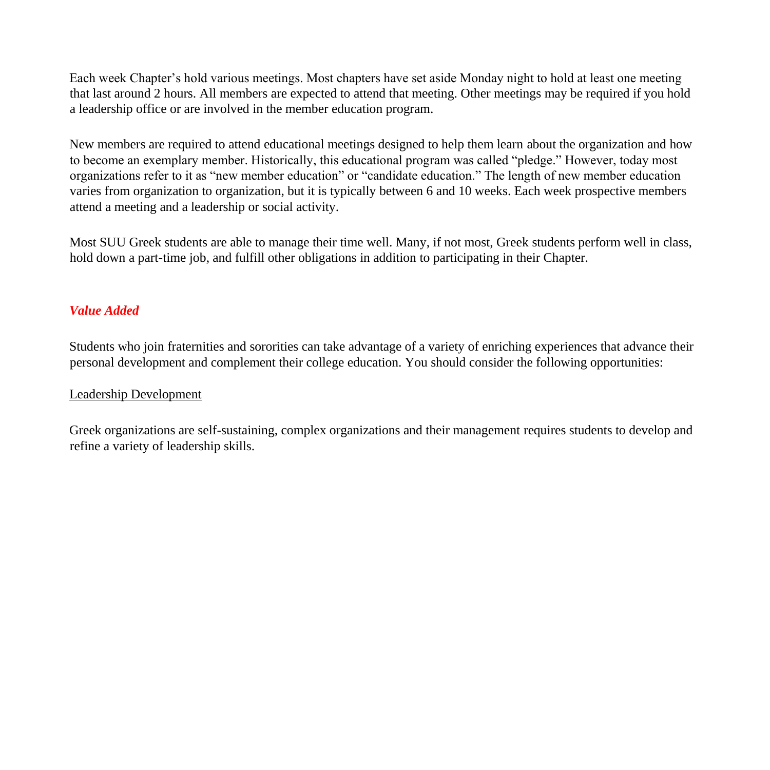Each week Chapter's hold various meetings. Most chapters have set aside Monday night to hold at least one meeting that last around 2 hours. All members are expected to attend that meeting. Other meetings may be required if you hold a leadership office or are involved in the member education program.

New members are required to attend educational meetings designed to help them learn about the organization and how to become an exemplary member. Historically, this educational program was called "pledge." However, today most organizations refer to it as "new member education" or "candidate education." The length of new member education varies from organization to organization, but it is typically between 6 and 10 weeks. Each week prospective members attend a meeting and a leadership or social activity.

Most SUU Greek students are able to manage their time well. Many, if not most, Greek students perform well in class, hold down a part-time job, and fulfill other obligations in addition to participating in their Chapter.

# *Value Added*

Students who join fraternities and sororities can take advantage of a variety of enriching experiences that advance their personal development and complement their college education. You should consider the following opportunities:

# Leadership Development

Greek organizations are self-sustaining, complex organizations and their management requires students to develop and refine a variety of leadership skills.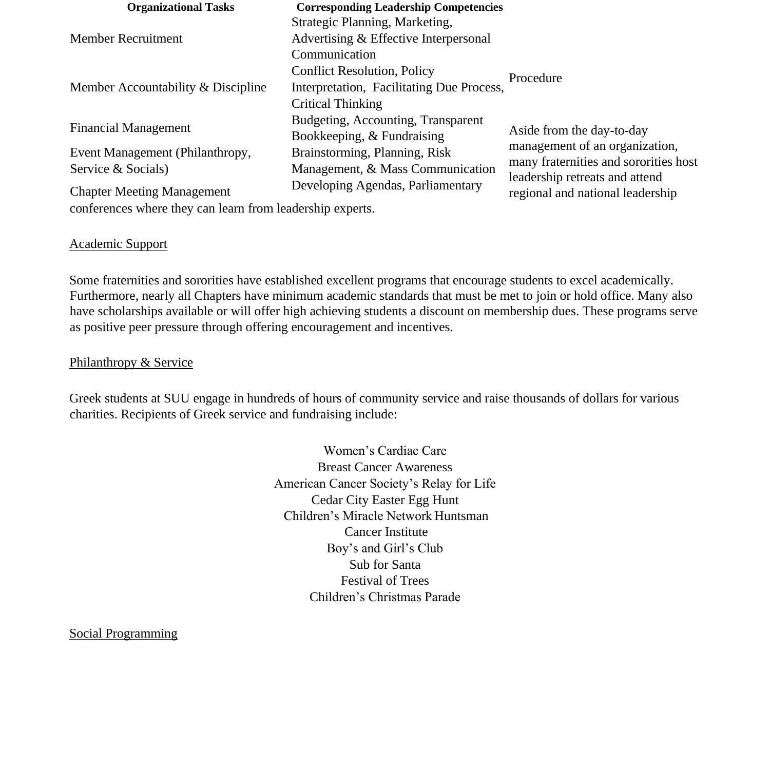| <b>Organizational Tasks</b>                               | <b>Corresponding Leadership Competencies</b> |                                                                    |
|-----------------------------------------------------------|----------------------------------------------|--------------------------------------------------------------------|
|                                                           | Strategic Planning, Marketing,               |                                                                    |
| <b>Member Recruitment</b>                                 | Advertising & Effective Interpersonal        |                                                                    |
|                                                           | Communication                                |                                                                    |
| Member Accountability & Discipline                        | <b>Conflict Resolution, Policy</b>           | Procedure                                                          |
|                                                           | Interpretation, Facilitating Due Process,    |                                                                    |
|                                                           | Critical Thinking                            |                                                                    |
| <b>Financial Management</b>                               | Budgeting, Accounting, Transparent           | Aside from the day-to-day<br>management of an organization,        |
|                                                           | Bookkeeping, & Fundraising                   |                                                                    |
| Event Management (Philanthropy,                           | Brainstorming, Planning, Risk                |                                                                    |
| Service & Socials)                                        | Management, & Mass Communication             | many fraternities and sororities host                              |
| <b>Chapter Meeting Management</b>                         | Developing Agendas, Parliamentary            | leadership retreats and attend<br>regional and national leadership |
| conferences where they can learn from leadership experts. |                                              |                                                                    |

#### Academic Support

Some fraternities and sororities have established excellent programs that encourage students to excel academically. Furthermore, nearly all Chapters have minimum academic standards that must be met to join or hold office. Many also have scholarships available or will offer high achieving students a discount on membership dues. These programs serve as positive peer pressure through offering encouragement and incentives.

#### Philanthropy & Service

Greek students at SUU engage in hundreds of hours of community service and raise thousands of dollars for various charities. Recipients of Greek service and fundraising include:

> Women's Cardiac Care Breast Cancer Awareness American Cancer Society's Relay for Life Cedar City Easter Egg Hunt Children's Miracle Network Huntsman Cancer Institute Boy's and Girl's Club Sub for Santa Festival of Trees Children's Christmas Parade

Social Programming